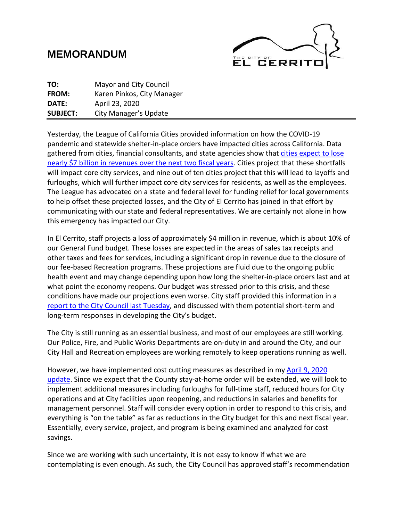# **MEMORANDUM**



| TO:             | <b>Mayor and City Council</b> |
|-----------------|-------------------------------|
| FROM:           | Karen Pinkos, City Manager    |
| DATE:           | April 23, 2020                |
| <b>SUBJECT:</b> | City Manager's Update         |

Yesterday, the League of California Cities provided information on how the COVID-19 pandemic and statewide shelter-in-place orders have impacted cities across California. Data gathered from cities, financial consultants, and state agencies show tha[t cities expect to lose](https://www.cacities.org/Top/News/Press-Releases/2020-(1)/Cities-Seek-State-and-Federal-Assistance-to-Addres)  [nearly \\$7 billion in revenues over the next two fiscal years.](https://www.cacities.org/Top/News/Press-Releases/2020-(1)/Cities-Seek-State-and-Federal-Assistance-to-Addres) Cities project that these shortfalls will impact core city services, and nine out of ten cities project that this will lead to layoffs and furloughs, which will further impact core city services for residents, as well as the employees. The League has advocated on a state and federal level for funding relief for local governments to help offset these projected losses, and the City of El Cerrito has joined in that effort by communicating with our state and federal representatives. We are certainly not alone in how this emergency has impacted our City.

In El Cerrito, staff projects a loss of approximately \$4 million in revenue, which is about 10% of our General Fund budget. These losses are expected in the areas of sales tax receipts and other taxes and fees for services, including a significant drop in revenue due to the closure of our fee-based Recreation programs. These projections are fluid due to the ongoing public health event and may change depending upon how long the shelter-in-place orders last and at what point the economy reopens. Our budget was stressed prior to this crisis, and these conditions have made our projections even worse. City staff provided this information in a [report to the City Council last Tuesday,](https://elcerritoca.civicclerk.com/Web/GenFile.aspx?ar=224) and discussed with them potential short-term and long-term responses in developing the City's budget.

The City is still running as an essential business, and most of our employees are still working. Our Police, Fire, and Public Works Departments are on-duty in and around the City, and our City Hall and Recreation employees are working remotely to keep operations running as well.

However, we have implemented cost cutting measures as described in my [April 9, 2020](http://el-cerrito.org/DocumentCenter/View/14080/CM-Update-492020)  [update.](http://el-cerrito.org/DocumentCenter/View/14080/CM-Update-492020) Since we expect that the County stay-at-home order will be extended, we will look to implement additional measures including furloughs for full-time staff, reduced hours for City operations and at City facilities upon reopening, and reductions in salaries and benefits for management personnel. Staff will consider every option in order to respond to this crisis, and everything is "on the table" as far as reductions in the City budget for this and next fiscal year. Essentially, every service, project, and program is being examined and analyzed for cost savings.

Since we are working with such uncertainty, it is not easy to know if what we are contemplating is even enough. As such, the City Council has approved staff's recommendation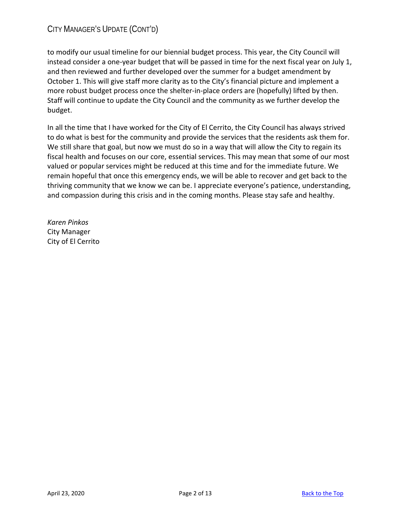# CITY MANAGER'S UPDATE (CONT'D)

to modify our usual timeline for our biennial budget process. This year, the City Council will instead consider a one-year budget that will be passed in time for the next fiscal year on July 1, and then reviewed and further developed over the summer for a budget amendment by October 1. This will give staff more clarity as to the City's financial picture and implement a more robust budget process once the shelter-in-place orders are (hopefully) lifted by then. Staff will continue to update the City Council and the community as we further develop the budget.

In all the time that I have worked for the City of El Cerrito, the City Council has always strived to do what is best for the community and provide the services that the residents ask them for. We still share that goal, but now we must do so in a way that will allow the City to regain its fiscal health and focuses on our core, essential services. This may mean that some of our most valued or popular services might be reduced at this time and for the immediate future. We remain hopeful that once this emergency ends, we will be able to recover and get back to the thriving community that we know we can be. I appreciate everyone's patience, understanding, and compassion during this crisis and in the coming months. Please stay safe and healthy.

*Karen Pinkos* City Manager City of El Cerrito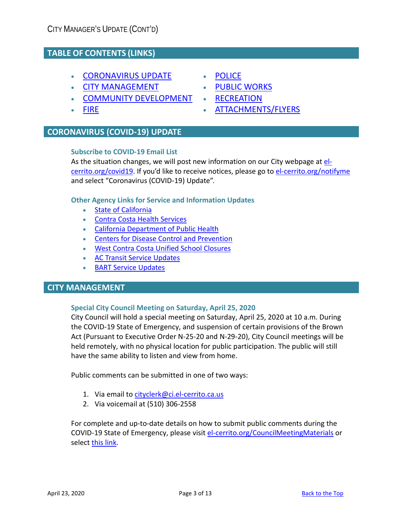# **TABLE OF CONTENTS (LINKS)**

- [CORONAVIRUS UPDATE](#page-2-0)
- [CITY MANAGEMENT](#page-2-1)
- COMMUNITY DEVELOPMENT
- [FIRE](#page-4-0)

# <span id="page-2-0"></span>**CORONAVIRUS (COVID-19) UPDATE**

# **Subscribe to COVID-19 Email List**

As the situation changes, we will post new information on our City webpage at [el](http://www.el-cerrito.org/covid19)[cerrito.org/covid19.](http://www.el-cerrito.org/covid19) If you'd like to receive notices, please go to [el-cerrito.org/notifyme](http://www.el-cerrito.org/notifyme) and select "Coronavirus (COVID-19) Update".

# **Other Agency Links for Service and Information Updates**

- [State of California](https://covid19.ca.gov/)
- [Contra Costa Health Services](https://www.coronavirus.cchealth.org/)
- [California Department of Public Health](https://www.cdph.ca.gov/Programs/CID/DCDC/Pages/Immunization/ncov2019.aspx)
- [Centers for Disease Control and Prevention](https://www.cdc.gov/coronavirus/2019-nCoV/index.html)
- [West Contra Costa Unified School Closures](https://www.wccusd.net/)
- [AC Transit Service Updates](http://www.actransit.org/servicebulletins/)
- BART [Service Updates](https://www.bart.gov/news/articles/2020/news20200225)

# <span id="page-2-1"></span>**CITY MANAGEMENT**

# **Special City Council Meeting on Saturday, April 25, 2020**

City Council will hold a special meeting on Saturday, April 25, 2020 at 10 a.m. During the COVID-19 State of Emergency, and suspension of certain provisions of the Brown Act (Pursuant to Executive Order N-25-20 and N-29-20), City Council meetings will be held remotely, with no physical location for public participation. The public will still have the same ability to listen and view from home.

Public comments can be submitted in one of two ways:

- 1. Via email t[o cityclerk@ci.el-cerrito.ca.us](mailto:cityclerk@ci.el-cerrito.ca.us)
- 2. Via voicemail at (510) 306-2558

For complete and up-to-date details on how to submit public comments during the COVID-19 State of Emergency, please visit [el-cerrito.org/CouncilMeetingMaterials](http://www.el-cerrito.org/CouncilMeetingMaterials) or select [this link.](http://el-cerrito.org/DocumentCenter/View/13983/Instructions-for-Public-Comments)

- **[POLICE](#page-5-0)**
- [PUBLIC WORKS](#page-6-0)
- [RECREATION](#page-10-0)
- [ATTACHMENTS/FLYERS](#page-12-0)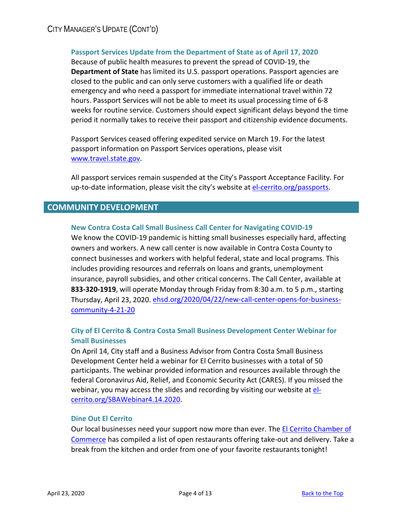# **Passport Services Update from the Department of State as of April 17, 2020**

Because of public health measures to prevent the spread of COVID-19, the **Department of State** has limited its U.S. passport operations. Passport agencies are closed to the public and can only serve customers with a qualified life or death emergency and who need a passport for immediate international travel within 72 hours. Passport Services will not be able to meet its usual processing time of 6-8 weeks for routine service. Customers should expect significant delays beyond the time period it normally takes to receive their passport and citizenship evidence documents.

Passport Services ceased offering expedited service on March 19. For the latest passport information on Passport Services operations, please visit [www.travel.state.gov.](http://www.travel.state.gov/)

All passport services remain suspended at the City's Passport Acceptance Facility. For up-to-date information, please visit the city's website at [el-cerrito.org/passports.](http://www.el-cerrito.org/passports)

# **COMMUNITY DEVELOPMENT**

# **New Contra Costa Call Small Business Call Center for Navigating COVID-19**

We know the COVID-19 pandemic is hitting small businesses especially hard, affecting owners and workers. A new call center is now available in Contra Costa County to connect businesses and workers with helpful federal, state and local programs. This includes providing resources and referrals on loans and grants, unemployment insurance, payroll subsidies, and other critical concerns. The Call Center, available at **833-320-1919**, will operate Monday through Friday from 8:30 a.m. to 5 p.m., starting Thursday, April 23, 2020. [ehsd.org/2020/04/22/new-call-center-opens-for-business](https://ehsd.org/2020/04/22/new-call-center-opens-for-business-community-4-21-20/)[community-4-21-20](https://ehsd.org/2020/04/22/new-call-center-opens-for-business-community-4-21-20/)

# **City of El Cerrito & Contra Costa Small Business Development Center Webinar for Small Businesses**

On April 14, City staff and a Business Advisor from Contra Costa Small Business Development Center held a webinar for El Cerrito businesses with a total of 50 participants. The webinar provided information and resources available through the federal Coronavirus Aid, Relief, and Economic Security Act (CARES). If you missed the webinar, you may access the slides and recording by visiting our website a[t el](http://www.el-cerrito.org/SBAWebinar4.14.2020)[cerrito.org/SBAWebinar4.14.2020.](http://www.el-cerrito.org/SBAWebinar4.14.2020)

# **Dine Out El Cerrito**

Our local businesses need your support now more than ever. The **El Cerrito Chamber of** [Commerce](http://elcerritochamber.org/) has compiled a list of open restaurants offering take-out and delivery. Take a break from the kitchen and order from one of your favorite restaurants tonight!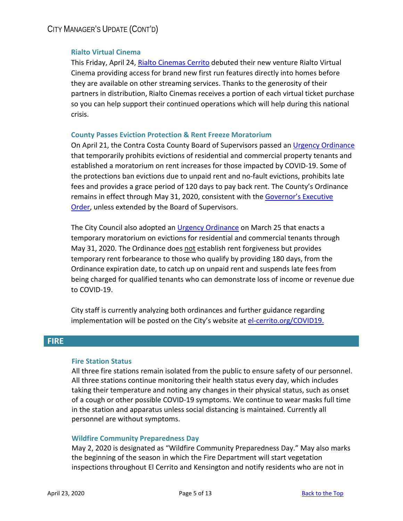# **Rialto Virtual Cinema**

This Friday, April 24, [Rialto Cinemas Cerrito](https://rialtocinemas.com/index.php?location=cerrito) debuted their new venture Rialto Virtual Cinema providing access for brand new first run features directly into homes before they are available on other streaming services. Thanks to the generosity of their partners in distribution, Rialto Cinemas receives a portion of each virtual ticket purchase so you can help support their continued operations which will help during this national crisis.

#### **County Passes Eviction Protection & Rent Freeze Moratorium**

On April 21, the Contra Costa County Board of Supervisors passed an [Urgency Ordinance](http://64.166.146.245/docs/2020/SPBOS/20200421_1607/41733_urgency%20ordinance%20suspending%20evictions%204.21.20(2).pdf) that temporarily prohibits evictions of residential and commercial property tenants and established a moratorium on rent increases for those impacted by COVID-19. Some of the protections ban evictions due to unpaid rent and no-fault evictions, prohibits late fees and provides a grace period of 120 days to pay back rent. The County's Ordinance remains in effect through May 31, 2020, consistent with the Governor's Executive [Order,](https://www.gov.ca.gov/wp-content/uploads/2020/03/3.16.20-Executive-Order.pdf) unless extended by the Board of Supervisors.

The City Council also adopted an [Urgency Ordinance](http://el-cerrito.org/DocumentCenter/View/14033/2020-03-Urgency-Temporary-Moratorium_ClerkCertified) on March 25 that enacts a temporary moratorium on evictions for residential and commercial tenants through May 31, 2020. The Ordinance does not establish rent forgiveness but provides temporary rent forbearance to those who qualify by providing 180 days, from the Ordinance expiration date, to catch up on unpaid rent and suspends late fees from being charged for qualified tenants who can demonstrate loss of income or revenue due to COVID-19.

City staff is currently analyzing both ordinances and further guidance regarding implementation will be posted on the City's website at [el-cerrito.org/COVID19.](http://www.el-cerrito.org/COVID19)

# <span id="page-4-0"></span>**FIRE**

# **Fire Station Status**

All three fire stations remain isolated from the public to ensure safety of our personnel. All three stations continue monitoring their health status every day, which includes taking their temperature and noting any changes in their physical status, such as onset of a cough or other possible COVID-19 symptoms. We continue to wear masks full time in the station and apparatus unless social distancing is maintained. Currently all personnel are without symptoms.

# **Wildfire Community Preparedness Day**

May 2, 2020 is designated as "Wildfire Community Preparedness Day." May also marks the beginning of the season in which the Fire Department will start vegetation inspections throughout El Cerrito and Kensington and notify residents who are not in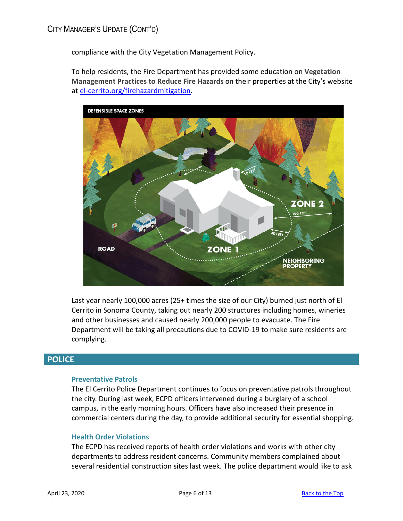compliance with the City Vegetation Management Policy.

To help residents, the Fire Department has provided some education on **Vegetation Management Practices to Reduce Fire Hazards** on their properties at the City's website at [el-cerrito.org/firehazardmitigation.](http://www.el-cerrito.org/firehazardmitigation)



Last year nearly 100,000 acres (25+ times the size of our City) burned just north of El Cerrito in Sonoma County, taking out nearly 200 structures including homes, wineries and other businesses and caused nearly 200,000 people to evacuate. The Fire Department will be taking all precautions due to COVID-19 to make sure residents are complying.

# <span id="page-5-0"></span>**POLICE**

# **Preventative Patrols**

The El Cerrito Police Department continues to focus on preventative patrols throughout the city. During last week, ECPD officers intervened during a burglary of a school campus, in the early morning hours. Officers have also increased their presence in commercial centers during the day, to provide additional security for essential shopping.

# **Health Order Violations**

The ECPD has received reports of health order violations and works with other city departments to address resident concerns. Community members complained about several residential construction sites last week. The police department would like to ask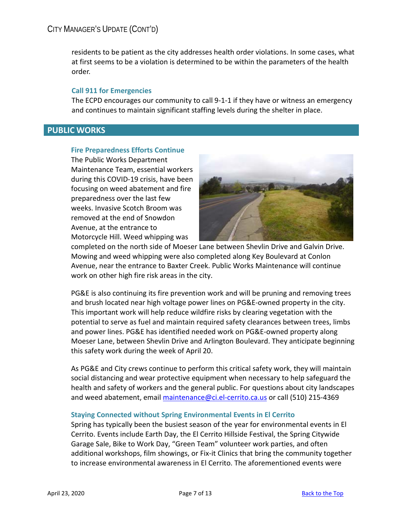residents to be patient as the city addresses health order violations. In some cases, what at first seems to be a violation is determined to be within the parameters of the health order.

# **Call 911 for Emergencies**

The ECPD encourages our community to call 9-1-1 if they have or witness an emergency and continues to maintain significant staffing levels during the shelter in place.

# <span id="page-6-0"></span>**PUBLIC WORKS**

# **Fire Preparedness Efforts Continue**

The Public Works Department Maintenance Team, essential workers during this COVID-19 crisis, have been focusing on weed abatement and fire preparedness over the last few weeks. Invasive Scotch Broom was removed at the end of Snowdon Avenue, at the entrance to Motorcycle Hill. Weed whipping was



completed on the north side of Moeser Lane between Shevlin Drive and Galvin Drive. Mowing and weed whipping were also completed along Key Boulevard at Conlon Avenue, near the entrance to Baxter Creek. Public Works Maintenance will continue work on other high fire risk areas in the city.

PG&E is also continuing its fire prevention work and will be pruning and removing trees and brush located near high voltage power lines on PG&E-owned property in the city. This important work will help reduce wildfire risks by clearing vegetation with the potential to serve as fuel and maintain required safety clearances between trees, limbs and power lines. PG&E has identified needed work on PG&E-owned property along Moeser Lane, between Shevlin Drive and Arlington Boulevard. They anticipate beginning this safety work during the week of April 20.

As PG&E and City crews continue to perform this critical safety work, they will maintain social distancing and wear protective equipment when necessary to help safeguard the health and safety of workers and the general public. For questions about city landscapes and weed abatement, email [maintenance@ci.el-cerrito.ca.us](mailto:maintenance@ci.el-cerrito.ca.us) or call (510) 215-4369

# **Staying Connected without Spring Environmental Events in El Cerrito**

Spring has typically been the busiest season of the year for environmental events in El Cerrito. Events include Earth Day, the El Cerrito Hillside Festival, the Spring Citywide Garage Sale, Bike to Work Day, "Green Team" volunteer work parties, and often additional workshops, film showings, or Fix-it Clinics that bring the community together to increase environmental awareness in El Cerrito. The aforementioned events were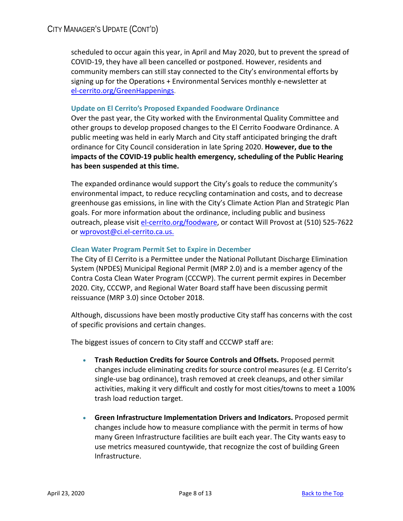scheduled to occur again this year, in April and May 2020, but to prevent the spread of COVID-19, they have all been cancelled or postponed. However, residents and community members can still stay connected to the City's environmental efforts by signing up for the Operations + Environmental Services monthly e-newsletter at [el-cerrito.org/GreenHappenings.](http://www.el-cerrito.org/GreenHappenings)

# **Update on El Cerrito's Proposed Expanded Foodware Ordinance**

Over the past year, the City worked with the Environmental Quality Committee and other groups to develop proposed changes to the El Cerrito Foodware Ordinance. A public meeting was held in early March and City staff anticipated bringing the draft ordinance for City Council consideration in late Spring 2020. **However, due to the impacts of the COVID-19 public health emergency, scheduling of the Public Hearing has been suspended at this time.**

The expanded ordinance would support the City's goals to reduce the community's environmental impact, to reduce recycling contamination and costs, and to decrease greenhouse gas emissions, in line with the City's Climate Action Plan and Strategic Plan goals. For more information about the ordinance, including public and business outreach, please visit [el-cerrito.org/foodware,](mailto:el-cerrito.org/foodware) or contact Will Provost at (510) 525-7622 or [wprovost@ci.el-cerrito.ca.us.](mailto:wprovost@ci.el-cerrito.ca.us)

# **Clean Water Program Permit Set to Expire in December**

The City of El Cerrito is a Permittee under the National Pollutant Discharge Elimination System (NPDES) Municipal Regional Permit (MRP 2.0) and is a member agency of the Contra Costa Clean Water Program (CCCWP). The current permit expires in December 2020. City, CCCWP, and Regional Water Board staff have been discussing permit reissuance (MRP 3.0) since October 2018.

Although, discussions have been mostly productive City staff has concerns with the cost of specific provisions and certain changes.

The biggest issues of concern to City staff and CCCWP staff are:

- **Trash Reduction Credits for Source Controls and Offsets.** Proposed permit changes include eliminating credits for source control measures (e.g. El Cerrito's single-use bag ordinance), trash removed at creek cleanups, and other similar activities, making it very difficult and costly for most cities/towns to meet a 100% trash load reduction target.
- **Green Infrastructure Implementation Drivers and Indicators.** Proposed permit changes include how to measure compliance with the permit in terms of how many Green Infrastructure facilities are built each year. The City wants easy to use metrics measured countywide, that recognize the cost of building Green Infrastructure.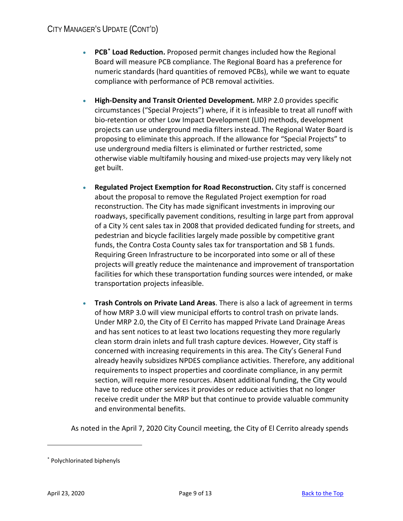# CITY MANAGER'S UPDATE (CONT'D)

- **PCB[\\*](#page-8-0) Load Reduction.** Proposed permit changes included how the Regional Board will measure PCB compliance. The Regional Board has a preference for numeric standards (hard quantities of removed PCBs), while we want to equate compliance with performance of PCB removal activities.
- **High-Density and Transit Oriented Development.** MRP 2.0 provides specific circumstances ("Special Projects") where, if it is infeasible to treat all runoff with bio-retention or other Low Impact Development (LID) methods, development projects can use underground media filters instead. The Regional Water Board is proposing to eliminate this approach. If the allowance for "Special Projects" to use underground media filters is eliminated or further restricted, some otherwise viable multifamily housing and mixed-use projects may very likely not get built.
- **Regulated Project Exemption for Road Reconstruction.** City staff is concerned about the proposal to remove the Regulated Project exemption for road reconstruction. The City has made significant investments in improving our roadways, specifically pavement conditions, resulting in large part from approval of a City ½ cent sales tax in 2008 that provided dedicated funding for streets, and pedestrian and bicycle facilities largely made possible by competitive grant funds, the Contra Costa County sales tax for transportation and SB 1 funds. Requiring Green Infrastructure to be incorporated into some or all of these projects will greatly reduce the maintenance and improvement of transportation facilities for which these transportation funding sources were intended, or make transportation projects infeasible.
- **Trash Controls on Private Land Areas**. There is also a lack of agreement in terms of how MRP 3.0 will view municipal efforts to control trash on private lands. Under MRP 2.0, the City of El Cerrito has mapped Private Land Drainage Areas and has sent notices to at least two locations requesting they more regularly clean storm drain inlets and full trash capture devices. However, City staff is concerned with increasing requirements in this area. The City's General Fund already heavily subsidizes NPDES compliance activities. Therefore, any additional requirements to inspect properties and coordinate compliance, in any permit section, will require more resources. Absent additional funding, the City would have to reduce other services it provides or reduce activities that no longer receive credit under the MRP but that continue to provide valuable community and environmental benefits.

As noted in the April 7, 2020 City Council meeting, the City of El Cerrito already spends

<span id="page-8-0"></span><sup>\*</sup> Polychlorinated biphenyls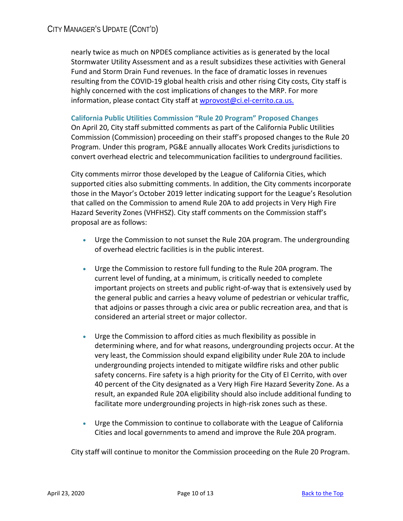nearly twice as much on NPDES compliance activities as is generated by the local Stormwater Utility Assessment and as a result subsidizes these activities with General Fund and Storm Drain Fund revenues. In the face of dramatic losses in revenues resulting from the COVID-19 global health crisis and other rising City costs, City staff is highly concerned with the cost implications of changes to the MRP. For more information, please contact City staff at [wprovost@ci.el-cerrito.ca.us.](mailto:wprovost@ci.el-cerrito.ca.us)

# **California Public Utilities Commission "Rule 20 Program" Proposed Changes**

On April 20, City staff submitted comments as part of the California Public Utilities Commission (Commission) proceeding on their staff's proposed changes to the Rule 20 Program. Under this program, PG&E annually allocates Work Credits jurisdictions to convert overhead electric and telecommunication facilities to underground facilities.

City comments mirror those developed by the League of California Cities, which supported cities also submitting comments. In addition, the City comments incorporate those in the Mayor's October 2019 letter indicating support for the League's Resolution that called on the Commission to amend Rule 20A to add projects in Very High Fire Hazard Severity Zones (VHFHSZ). City staff comments on the Commission staff's proposal are as follows:

- Urge the Commission to not sunset the Rule 20A program. The undergrounding of overhead electric facilities is in the public interest.
- Urge the Commission to restore full funding to the Rule 20A program. The current level of funding, at a minimum, is critically needed to complete important projects on streets and public right-of-way that is extensively used by the general public and carries a heavy volume of pedestrian or vehicular traffic, that adjoins or passes through a civic area or public recreation area, and that is considered an arterial street or major collector.
- Urge the Commission to afford cities as much flexibility as possible in determining where, and for what reasons, undergrounding projects occur. At the very least, the Commission should expand eligibility under Rule 20A to include undergrounding projects intended to mitigate wildfire risks and other public safety concerns. Fire safety is a high priority for the City of El Cerrito, with over 40 percent of the City designated as a Very High Fire Hazard Severity Zone. As a result, an expanded Rule 20A eligibility should also include additional funding to facilitate more undergrounding projects in high-risk zones such as these.
- Urge the Commission to continue to collaborate with the League of California Cities and local governments to amend and improve the Rule 20A program.

City staff will continue to monitor the Commission proceeding on the Rule 20 Program.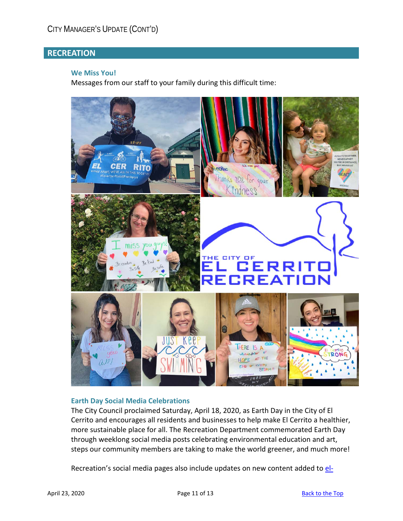# <span id="page-10-0"></span>**RECREATION**

#### **We Miss You!**

Messages from our staff to your family during this difficult time:



# **Earth Day Social Media Celebrations**

The City Council proclaimed Saturday, April 18, 2020, as Earth Day in the City of El Cerrito and encourages all residents and businesses to help make El Cerrito a healthier, more sustainable place for all. The Recreation Department commemorated Earth Day through weeklong social media posts celebrating environmental education and art, steps our community members are taking to make the world greener, and much more!

Recreation's social media pages also include updates on new content added to [el-](http://www.el-cerrito.org/rECsources)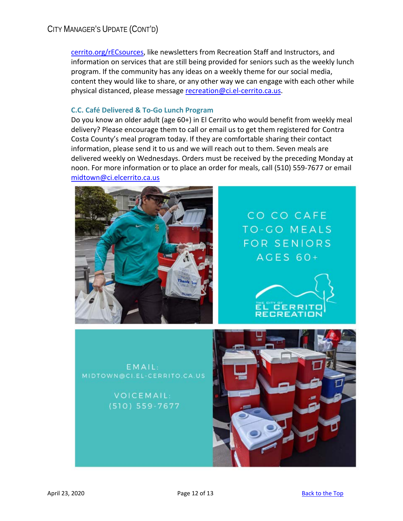# CITY MANAGER'S UPDATE (CONT'D)

[cerrito.org/rECsources,](http://www.el-cerrito.org/rECsources) like newsletters from Recreation Staff and Instructors, and information on services that are still being provided for seniors such as the weekly lunch program. If the community has any ideas on a weekly theme for our social media, content they would like to share, or any other way we can engage with each other while physical distanced, please message [recreation@ci.el-cerrito.ca.us.](mailto:recreation@ci.el-cerrito.ca.us)

#### **C.C. Café Delivered & To-Go Lunch Program**

Do you know an older adult (age 60+) in El Cerrito who would benefit from weekly meal delivery? Please encourage them to call or email us to get them registered for Contra Costa County's meal program today. If they are comfortable sharing their contact information, please send it to us and we will reach out to them. Seven meals are delivered weekly on Wednesdays. Orders must be received by the preceding Monday at noon. For more information or to place an order for meals, call (510) 559-7677 or email [midtown@ci.elcerrito.ca.us](mailto:midtown@ci.elcerrito)



EMAIL: MIDTOWN@CI.EL-CERRITO.CA.US

> VOICEMAIL:  $(510)$  559-7677

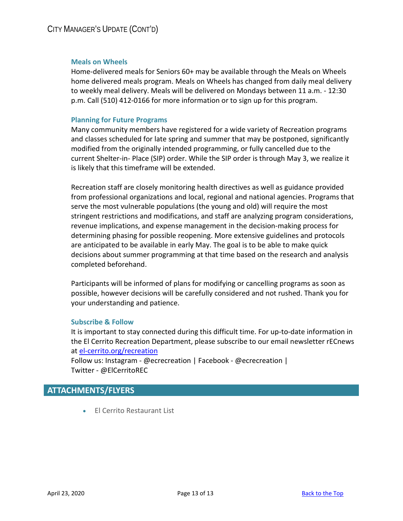#### **Meals on Wheels**

Home-delivered meals for Seniors 60+ may be available through the Meals on Wheels home delivered meals program. Meals on Wheels has changed from daily meal delivery to weekly meal delivery. Meals will be delivered on Mondays between 11 a.m. - 12:30 p.m. Call (510) 412-0166 for more information or to sign up for this program.

#### **Planning for Future Programs**

Many community members have registered for a wide variety of Recreation programs and classes scheduled for late spring and summer that may be postponed, significantly modified from the originally intended programming, or fully cancelled due to the current Shelter-in- Place (SIP) order. While the SIP order is through May 3, we realize it is likely that this timeframe will be extended.

Recreation staff are closely monitoring health directives as well as guidance provided from professional organizations and local, regional and national agencies. Programs that serve the most vulnerable populations (the young and old) will require the most stringent restrictions and modifications, and staff are analyzing program considerations, revenue implications, and expense management in the decision-making process for determining phasing for possible reopening. More extensive guidelines and protocols are anticipated to be available in early May. The goal is to be able to make quick decisions about summer programming at that time based on the research and analysis completed beforehand.

Participants will be informed of plans for modifying or cancelling programs as soon as possible, however decisions will be carefully considered and not rushed. Thank you for your understanding and patience.

#### **Subscribe & Follow**

It is important to stay connected during this difficult time. For up-to-date information in the El Cerrito Recreation Department, please subscribe to our email newsletter rECnews at [el-cerrito.org/recreation](http://www.el-cerrito.org/recreation)

Follow us: Instagram - @ecrecreation | Facebook - @ecrecreation | Twitter - @ElCerritoREC

# <span id="page-12-0"></span>**ATTACHMENTS/FLYERS**

• El Cerrito Restaurant List